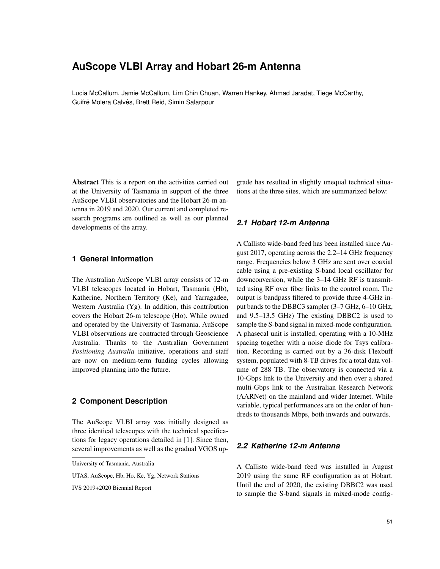# **AuScope VLBI Array and Hobart 26-m Antenna**

Lucia McCallum, Jamie McCallum, Lim Chin Chuan, Warren Hankey, Ahmad Jaradat, Tiege McCarthy, Guifré Molera Calvés, Brett Reid, Simin Salarpour

Abstract This is a report on the activities carried out at the University of Tasmania in support of the three AuScope VLBI observatories and the Hobart 26-m antenna in 2019 and 2020. Our current and completed research programs are outlined as well as our planned developments of the array.

### **1 General Information**

The Australian AuScope VLBI array consists of 12-m VLBI telescopes located in Hobart, Tasmania (Hb), Katherine, Northern Territory (Ke), and Yarragadee, Western Australia (Yg). In addition, this contribution covers the Hobart 26-m telescope (Ho). While owned and operated by the University of Tasmania, AuScope VLBI observations are contracted through Geoscience Australia. Thanks to the Australian Government *Positioning Australia* initiative, operations and staff are now on medium-term funding cycles allowing improved planning into the future.

### **2 Component Description**

The AuScope VLBI array was initially designed as three identical telescopes with the technical specifications for legacy operations detailed in [1]. Since then, several improvements as well as the gradual VGOS up-

UTAS, AuScope, Hb, Ho, Ke, Yg, Network Stations

grade has resulted in slightly unequal technical situations at the three sites, which are summarized below:

#### *2.1 Hobart 12-m Antenna*

A Callisto wide-band feed has been installed since August 2017, operating across the 2.2–14 GHz frequency range. Frequencies below 3 GHz are sent over coaxial cable using a pre-existing S-band local oscillator for downconversion, while the 3–14 GHz RF is transmitted using RF over fiber links to the control room. The output is bandpass filtered to provide three 4-GHz input bands to the DBBC3 sampler (3–7 GHz, 6–10 GHz, and 9.5–13.5 GHz) The existing DBBC2 is used to sample the S-band signal in mixed-mode configuration. A phasecal unit is installed, operating with a 10-MHz spacing together with a noise diode for Tsys calibration. Recording is carried out by a 36-disk Flexbuff system, populated with 8-TB drives for a total data volume of 288 TB. The observatory is connected via a 10-Gbps link to the University and then over a shared multi-Gbps link to the Australian Research Network (AARNet) on the mainland and wider Internet. While variable, typical performances are on the order of hundreds to thousands Mbps, both inwards and outwards.

## *2.2 Katherine 12-m Antenna*

A Callisto wide-band feed was installed in August 2019 using the same RF configuration as at Hobart. Until the end of 2020, the existing DBBC2 was used to sample the S-band signals in mixed-mode config-

University of Tasmania, Australia

IVS 2019+2020 Biennial Report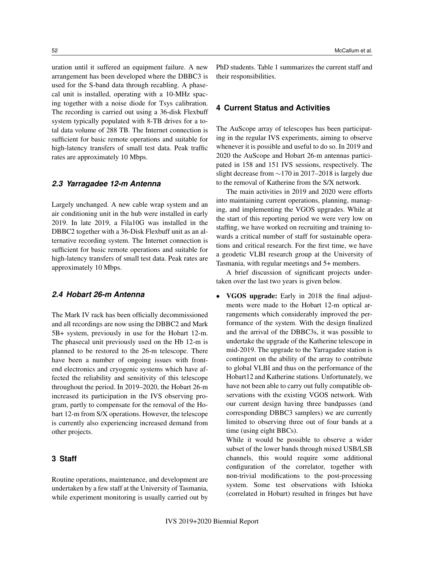uration until it suffered an equipment failure. A new arrangement has been developed where the DBBC3 is used for the S-band data through recabling. A phasecal unit is installed, operating with a 10-MHz spacing together with a noise diode for Tsys calibration. The recording is carried out using a 36-disk Flexbuff system typically populated with 8-TB drives for a total data volume of 288 TB. The Internet connection is sufficient for basic remote operations and suitable for high-latency transfers of small test data. Peak traffic rates are approximately 10 Mbps.

#### *2.3 Yarragadee 12-m Antenna*

Largely unchanged. A new cable wrap system and an air conditioning unit in the hub were installed in early 2019. In late 2019, a Fila10G was installed in the DBBC2 together with a 36-Disk Flexbuff unit as an alternative recording system. The Internet connection is sufficient for basic remote operations and suitable for high-latency transfers of small test data. Peak rates are approximately 10 Mbps.

#### *2.4 Hobart 26-m Antenna*

The Mark IV rack has been officially decommissioned and all recordings are now using the DBBC2 and Mark 5B+ system, previously in use for the Hobart 12-m. The phasecal unit previously used on the Hb 12-m is planned to be restored to the 26-m telescope. There have been a number of ongoing issues with frontend electronics and cryogenic systems which have affected the reliability and sensitivity of this telescope throughout the period. In 2019–2020, the Hobart 26-m increased its participation in the IVS observing program, partly to compensate for the removal of the Hobart 12-m from S/X operations. However, the telescope is currently also experiencing increased demand from other projects.

## **3 Staff**

Routine operations, maintenance, and development are undertaken by a few staff at the University of Tasmania, while experiment monitoring is usually carried out by PhD students. Table 1 summarizes the current staff and their responsibilities.

#### **4 Current Status and Activities**

The AuScope array of telescopes has been participating in the regular IVS experiments, aiming to observe whenever it is possible and useful to do so. In 2019 and 2020 the AuScope and Hobart 26-m antennas participated in 158 and 151 IVS sessions, respectively. The slight decrease from ∼170 in 2017–2018 is largely due to the removal of Katherine from the S/X network.

The main activities in 2019 and 2020 were efforts into maintaining current operations, planning, managing, and implementing the VGOS upgrades. While at the start of this reporting period we were very low on staffing, we have worked on recruiting and training towards a critical number of staff for sustainable operations and critical research. For the first time, we have a geodetic VLBI research group at the University of Tasmania, with regular meetings and 5+ members.

A brief discussion of significant projects undertaken over the last two years is given below.

• VGOS upgrade: Early in 2018 the final adjustments were made to the Hobart 12-m optical arrangements which considerably improved the performance of the system. With the design finalized and the arrival of the DBBC3s, it was possible to undertake the upgrade of the Katherine telescope in mid-2019. The upgrade to the Yarragadee station is contingent on the ability of the array to contribute to global VLBI and thus on the performance of the Hobart12 and Katherine stations. Unfortunately, we have not been able to carry out fully compatible observations with the existing VGOS network. With our current design having three bandpasses (and corresponding DBBC3 samplers) we are currently limited to observing three out of four bands at a time (using eight BBCs).

While it would be possible to observe a wider subset of the lower bands through mixed USB/LSB channels, this would require some additional configuration of the correlator, together with non-trivial modifications to the post-processing system. Some test observations with Ishioka (correlated in Hobart) resulted in fringes but have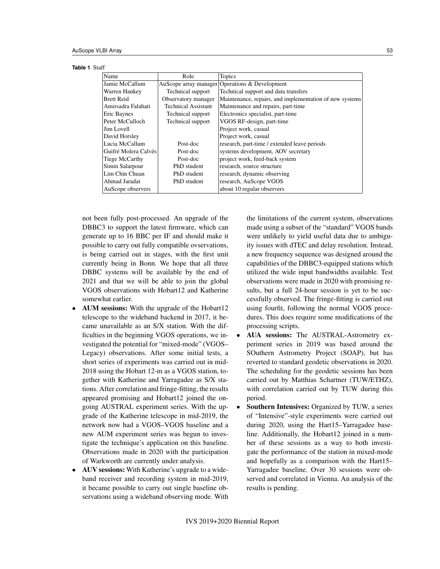**Table 1** Staff Name Role Role Topics

| плаше                | <b>IVOIC</b>               | TOPICS                                                  |
|----------------------|----------------------------|---------------------------------------------------------|
| Jamie McCallum       |                            | AuScope array manager Operations & Development          |
| Warren Hankey        | Technical support          | Technical support and data transfers                    |
| Brett Reid           | Observatory manager        | Maintenance, repairs, and implementation of new systems |
| Amirsadra Falahati   | <b>Technical Assistant</b> | Maintenance and repairs, part-time                      |
| Eric Baynes          | Technical support          | Electronics specialist, part-time                       |
| Peter McCulloch      | Technical support          | VGOS RF-design, part-time                               |
| Jim Lovell           |                            | Project work, casual                                    |
| David Horsley        |                            | Project work, casual                                    |
| Lucia McCallum       | Post-doc                   | research, part-time / extended leave periods            |
| Guifré Molera Calvés | Post-doc                   | systems development, AOV secretary                      |
| Tiege McCarthy       | Post-doc                   | project work, feed-back system                          |
| Simin Salarpour      | PhD student                | research, source structure                              |
| Lim Chin Chuan       | PhD student                | research, dynamic observing                             |
| Ahmad Jaradat        | PhD student                | research, AuScope VGOS                                  |
| AuScope observers    |                            | about 10 regular observers                              |

not been fully post-processed. An upgrade of the DBBC3 to support the latest firmware, which can generate up to 16 BBC per IF and should make it possible to carry out fully compatible ovservations, is being carried out in stages, with the first unit currently being in Bonn. We hope that all three DBBC systems will be available by the end of 2021 and that we will be able to join the global VGOS observations with Hobart12 and Katherine somewhat earlier.

- AUM sessions: With the upgrade of the Hobart12 telescope to the wideband backend in 2017, it became unavailable as an S/X station. With the difficulties in the beginning VGOS operations, we investigated the potential for "mixed-mode" (VGOS– Legacy) observations. After some initial tests, a short series of experiments was carried out in mid-2018 using the Hobart 12-m as a VGOS station, together with Katherine and Yarragadee as S/X stations. After correlation and fringe-fitting, the results appeared promising and Hobart12 joined the ongoing AUSTRAL experiment series. With the upgrade of the Katherine telescope in mid-2019, the network now had a VGOS–VGOS baseline and a new AUM experiment series was begun to investigate the technique's application on this baseline. Observations made in 2020 with the participation of Warkworth are currently under analysis.
- AUV sessions: With Katherine's upgrade to a wideband receiver and recording system in mid-2019, it became possible to carry out single baseline observations using a wideband observing mode. With

the limitations of the current system, observations made using a subset of the "standard" VGOS bands were unlikely to yield useful data due to ambiguity issues with dTEC and delay resolution. Instead, a new frequency sequence was designed around the capabilities of the DBBC3-equipped stations which utilized the wide input bandwidths available. Test observations were made in 2020 with promising results, but a full 24-hour session is yet to be successfully observed. The fringe-fitting is carried out using fourfit, following the normal VGOS procedures. This does require some modifications of the processing scripts.

- AUA sessions: The AUSTRAL-Astrometry experiment series in 2019 was based around the SOuthern Astrometry Project (SOAP), but has reverted to standard geodetic observations in 2020. The scheduling for the geodetic sessions has been carried out by Matthias Schartner (TUW/ETHZ), with correlation carried out by TUW during this period.
- **Southern Intensives:** Organized by TUW, a series of "Intensive"-style experiments were carried out during 2020, using the Hart15–Yarragadee baseline. Additionally, the Hobart12 joined in a number of these sessions as a way to both investigate the performance of the station in mixed-mode and hopefully as a comparison with the Hart15– Yarragadee baseline. Over 30 sessions were observed and correlated in Vienna. An analysis of the results is pending.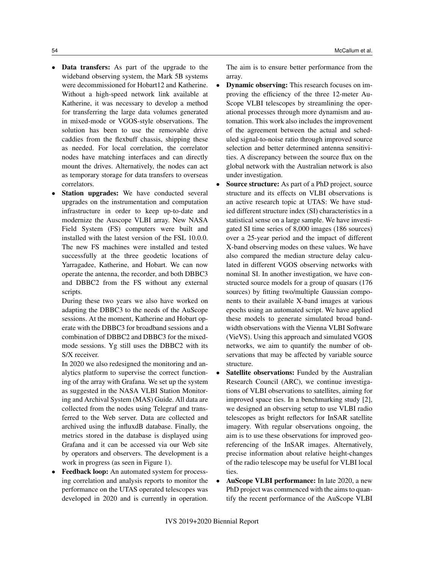- Data transfers: As part of the upgrade to the wideband observing system, the Mark 5B systems were decommissioned for Hobart12 and Katherine. Without a high-speed network link available at Katherine, it was necessary to develop a method for transferring the large data volumes generated in mixed-mode or VGOS-style observations. The solution has been to use the removable drive caddies from the flexbuff chassis, shipping these as needed. For local correlation, the correlator nodes have matching interfaces and can directly mount the drives. Alternatively, the nodes can act as temporary storage for data transfers to overseas correlators.
- Station upgrades: We have conducted several upgrades on the instrumentation and computation infrastructure in order to keep up-to-date and modernize the Auscope VLBI array. New NASA Field System (FS) computers were built and installed with the latest version of the FSL 10.0.0. The new FS machines were installed and tested successfully at the three geodetic locations of Yarragadee, Katherine, and Hobart. We can now operate the antenna, the recorder, and both DBBC3 and DBBC2 from the FS without any external scripts.

During these two years we also have worked on adapting the DBBC3 to the needs of the AuScope sessions. At the moment, Katherine and Hobart operate with the DBBC3 for broadband sessions and a combination of DBBC2 and DBBC3 for the mixedmode sessions. Yg still uses the DBBC2 with its S/X receiver.

In 2020 we also redesigned the monitoring and analytics platform to supervise the correct functioning of the array with Grafana. We set up the system as suggested in the NASA VLBI Station Monitoring and Archival System (MAS) Guide. All data are collected from the nodes using Telegraf and transferred to the Web server. Data are collected and archived using the influxdB database. Finally, the metrics stored in the database is displayed using Grafana and it can be accessed via our Web site by operators and observers. The development is a work in progress (as seen in Figure 1).

• Feedback loop: An automated system for processing correlation and analysis reports to monitor the performance on the UTAS operated telescopes was developed in 2020 and is currently in operation.

The aim is to ensure better performance from the array.

- **Dynamic observing:** This research focuses on improving the efficiency of the three 12-meter Au-Scope VLBI telescopes by streamlining the operational processes through more dynamism and automation. This work also includes the improvement of the agreement between the actual and scheduled signal-to-noise ratio through improved source selection and better determined antenna sensitivities. A discrepancy between the source flux on the global network with the Australian network is also under investigation.
- **Source structure:** As part of a PhD project, source structure and its effects on VLBI observations is an active research topic at UTAS: We have studied different structure index (SI) characteristics in a statistical sense on a large sample. We have investigated SI time series of 8,000 images (186 sources) over a 25-year period and the impact of different X-band observing modes on these values. We have also compared the median structure delay calculated in different VGOS observing networks with nominal SI. In another investigation, we have constructed source models for a group of quasars (176 sources) by fitting two/multiple Gaussian components to their available X-band images at various epochs using an automated script. We have applied these models to generate simulated broad bandwidth observations with the Vienna VLBI Software (VieVS). Using this approach and simulated VGOS networks, we aim to quantify the number of observations that may be affected by variable source structure.
- **Satellite observations:** Funded by the Australian Research Council (ARC), we continue investigations of VLBI observations to satellites, aiming for improved space ties. In a benchmarking study [2], we designed an observing setup to use VLBI radio telescopes as bright reflectors for InSAR satellite imagery. With regular observations ongoing, the aim is to use these observations for improved georeferencing of the InSAR images. Alternatively, precise information about relative height-changes of the radio telescope may be useful for VLBI local ties.
- AuScope VLBI performance: In late 2020, a new PhD project was commenced with the aims to quantify the recent performance of the AuScope VLBI